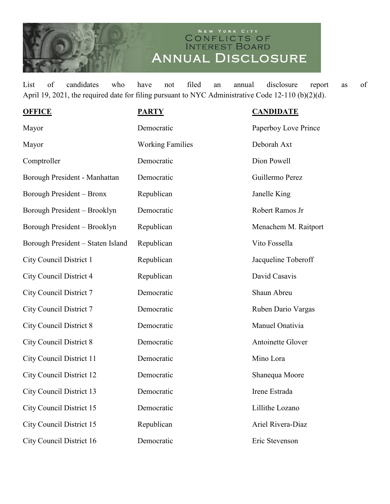## NEW YORK CITY<br>CONFLICTS OF<br>INTEREST BOARD ANNUAL DISCLOSURE

List of candidates who have not filed an annual disclosure report as of April 19, 2021, the required date for filing pursuant to NYC Administrative Code 12-110 (b)(2)(d).

| <b>OFFICE</b>                     | <b>PARTY</b>            | <b>CANDIDATE</b>     |
|-----------------------------------|-------------------------|----------------------|
| Mayor                             | Democratic              | Paperboy Love Prince |
| Mayor                             | <b>Working Families</b> | Deborah Axt          |
| Comptroller                       | Democratic              | Dion Powell          |
| Borough President - Manhattan     | Democratic              | Guillermo Perez      |
| Borough President - Bronx         | Republican              | Janelle King         |
| Borough President - Brooklyn      | Democratic              | Robert Ramos Jr      |
| Borough President - Brooklyn      | Republican              | Menachem M. Raitport |
| Borough President - Staten Island | Republican              | Vito Fossella        |
| <b>City Council District 1</b>    | Republican              | Jacqueline Toberoff  |
| City Council District 4           | Republican              | David Casavis        |
| <b>City Council District 7</b>    | Democratic              | Shaun Abreu          |
| <b>City Council District 7</b>    | Democratic              | Ruben Dario Vargas   |
| <b>City Council District 8</b>    | Democratic              | Manuel Onativia      |
| <b>City Council District 8</b>    | Democratic              | Antoinette Glover    |
| <b>City Council District 11</b>   | Democratic              | Mino Lora            |
| <b>City Council District 12</b>   | Democratic              | Shanequa Moore       |
| <b>City Council District 13</b>   | Democratic              | Irene Estrada        |
| <b>City Council District 15</b>   | Democratic              | Lillithe Lozano      |
| <b>City Council District 15</b>   | Republican              | Ariel Rivera-Diaz    |
| City Council District 16          | Democratic              | Eric Stevenson       |